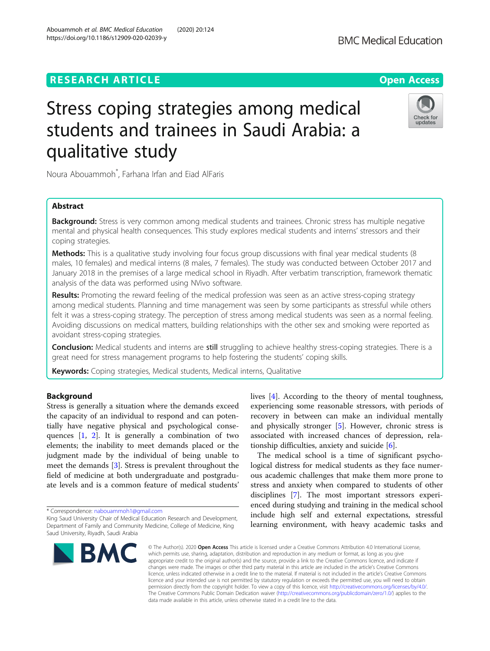# **RESEARCH ARTICLE Example 2014 12:30 The Contract of Contract ACCESS**

# Stress coping strategies among medical students and trainees in Saudi Arabia: a qualitative study

Noura Abouammoh\* , Farhana Irfan and Eiad AlFaris

# Abstract

**Background:** Stress is very common among medical students and trainees. Chronic stress has multiple negative mental and physical health consequences. This study explores medical students and interns' stressors and their coping strategies.

Methods: This is a qualitative study involving four focus group discussions with final year medical students (8 males, 10 females) and medical interns (8 males, 7 females). The study was conducted between October 2017 and January 2018 in the premises of a large medical school in Riyadh. After verbatim transcription, framework thematic analysis of the data was performed using NVivo software.

Results: Promoting the reward feeling of the medical profession was seen as an active stress-coping strategy among medical students. Planning and time management was seen by some participants as stressful while others felt it was a stress-coping strategy. The perception of stress among medical students was seen as a normal feeling. Avoiding discussions on medical matters, building relationships with the other sex and smoking were reported as avoidant stress-coping strategies.

**Conclusion:** Medical students and interns are still struggling to achieve healthy stress-coping strategies. There is a great need for stress management programs to help fostering the students' coping skills.

Keywords: Coping strategies, Medical students, Medical interns, Qualitative

## Background

Stress is generally a situation where the demands exceed the capacity of an individual to respond and can potentially have negative physical and psychological consequences  $[1, 2]$  $[1, 2]$  $[1, 2]$  $[1, 2]$  $[1, 2]$ . It is generally a combination of two elements; the inability to meet demands placed or the judgment made by the individual of being unable to meet the demands [\[3](#page-7-0)]. Stress is prevalent throughout the field of medicine at both undergraduate and postgraduate levels and is a common feature of medical students'

\* Correspondence: [nabouammoh1@gmail.com](mailto:nabouammoh1@gmail.com)

King Saud University Chair of Medical Education Research and Development,

© The Author(s), 2020 **Open Access** This article is licensed under a Creative Commons Attribution 4.0 International License, which permits use, sharing, adaptation, distribution and reproduction in any medium or format, as long as you give appropriate credit to the original author(s) and the source, provide a link to the Creative Commons licence, and indicate if changes were made. The images or other third party material in this article are included in the article's Creative Commons licence, unless indicated otherwise in a credit line to the material. If material is not included in the article's Creative Commons licence and your intended use is not permitted by statutory regulation or exceeds the permitted use, you will need to obtain permission directly from the copyright holder. To view a copy of this licence, visit [http://creativecommons.org/licenses/by/4.0/.](http://creativecommons.org/licenses/by/4.0/)

data made available in this article, unless otherwise stated in a credit line to the data.

The Creative Commons Public Domain Dedication waiver [\(http://creativecommons.org/publicdomain/zero/1.0/](http://creativecommons.org/publicdomain/zero/1.0/)) applies to the







lives [[4\]](#page-7-0). According to the theory of mental toughness, experiencing some reasonable stressors, with periods of recovery in between can make an individual mentally and physically stronger [[5\]](#page-7-0). However, chronic stress is associated with increased chances of depression, relationship difficulties, anxiety and suicide [\[6](#page-7-0)].

The medical school is a time of significant psychological distress for medical students as they face numerous academic challenges that make them more prone to stress and anxiety when compared to students of other disciplines [\[7](#page-7-0)]. The most important stressors experienced during studying and training in the medical school include high self and external expectations, stressful learning environment, with heavy academic tasks and

Department of Family and Community Medicine, College of Medicine, King Saud University, Riyadh, Saudi Arabia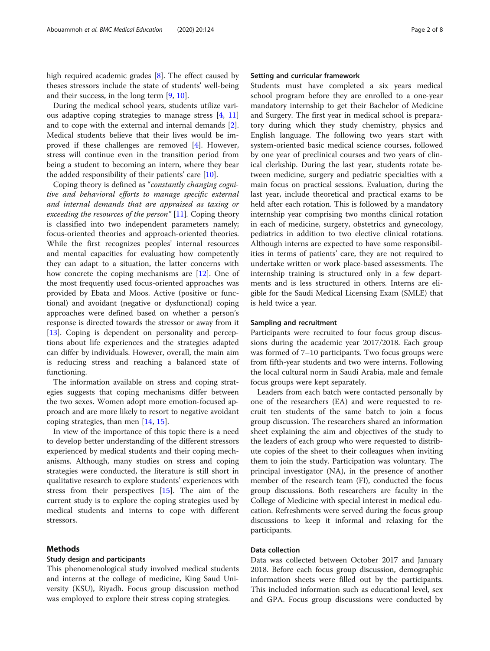high required academic grades [[8\]](#page-7-0). The effect caused by theses stressors include the state of students' well-being and their success, in the long term [[9,](#page-7-0) [10\]](#page-7-0).

During the medical school years, students utilize various adaptive coping strategies to manage stress [\[4](#page-7-0), [11](#page-7-0)] and to cope with the external and internal demands [\[2](#page-7-0)]. Medical students believe that their lives would be improved if these challenges are removed [\[4](#page-7-0)]. However, stress will continue even in the transition period from being a student to becoming an intern, where they bear the added responsibility of their patients' care [\[10\]](#page-7-0).

Coping theory is defined as "constantly changing cognitive and behavioral efforts to manage specific external and internal demands that are appraised as taxing or exceeding the resources of the person"  $[11]$  $[11]$ . Coping theory is classified into two independent parameters namely; focus-oriented theories and approach-oriented theories. While the first recognizes peoples' internal resources and mental capacities for evaluating how competently they can adapt to a situation, the latter concerns with how concrete the coping mechanisms are [\[12](#page-7-0)]. One of the most frequently used focus-oriented approaches was provided by Ebata and Moos. Active (positive or functional) and avoidant (negative or dysfunctional) coping approaches were defined based on whether a person's response is directed towards the stressor or away from it [[13\]](#page-7-0). Coping is dependent on personality and perceptions about life experiences and the strategies adapted can differ by individuals. However, overall, the main aim is reducing stress and reaching a balanced state of functioning.

The information available on stress and coping strategies suggests that coping mechanisms differ between the two sexes. Women adopt more emotion-focused approach and are more likely to resort to negative avoidant coping strategies, than men [[14](#page-7-0), [15](#page-7-0)].

In view of the importance of this topic there is a need to develop better understanding of the different stressors experienced by medical students and their coping mechanisms. Although, many studies on stress and coping strategies were conducted, the literature is still short in qualitative research to explore students' experiences with stress from their perspectives [\[15\]](#page-7-0). The aim of the current study is to explore the coping strategies used by medical students and interns to cope with different stressors.

#### Methods

#### Study design and participants

This phenomenological study involved medical students and interns at the college of medicine, King Saud University (KSU), Riyadh. Focus group discussion method was employed to explore their stress coping strategies.

#### Setting and curricular framework

Students must have completed a six years medical school program before they are enrolled to a one-year mandatory internship to get their Bachelor of Medicine and Surgery. The first year in medical school is preparatory during which they study chemistry, physics and English language. The following two years start with system-oriented basic medical science courses, followed by one year of preclinical courses and two years of clinical clerkship. During the last year, students rotate between medicine, surgery and pediatric specialties with a main focus on practical sessions. Evaluation, during the last year, include theoretical and practical exams to be held after each rotation. This is followed by a mandatory internship year comprising two months clinical rotation in each of medicine, surgery, obstetrics and gynecology, pediatrics in addition to two elective clinical rotations. Although interns are expected to have some responsibilities in terms of patients' care, they are not required to undertake written or work place-based assessments. The internship training is structured only in a few departments and is less structured in others. Interns are eligible for the Saudi Medical Licensing Exam (SMLE) that is held twice a year.

#### Sampling and recruitment

Participants were recruited to four focus group discussions during the academic year 2017/2018. Each group was formed of 7–10 participants. Two focus groups were from fifth-year students and two were interns. Following the local cultural norm in Saudi Arabia, male and female focus groups were kept separately.

Leaders from each batch were contacted personally by one of the researchers (EA) and were requested to recruit ten students of the same batch to join a focus group discussion. The researchers shared an information sheet explaining the aim and objectives of the study to the leaders of each group who were requested to distribute copies of the sheet to their colleagues when inviting them to join the study. Participation was voluntary. The principal investigator (NA), in the presence of another member of the research team (FI), conducted the focus group discussions. Both researchers are faculty in the College of Medicine with special interest in medical education. Refreshments were served during the focus group discussions to keep it informal and relaxing for the participants.

#### Data collection

Data was collected between October 2017 and January 2018. Before each focus group discussion, demographic information sheets were filled out by the participants. This included information such as educational level, sex and GPA. Focus group discussions were conducted by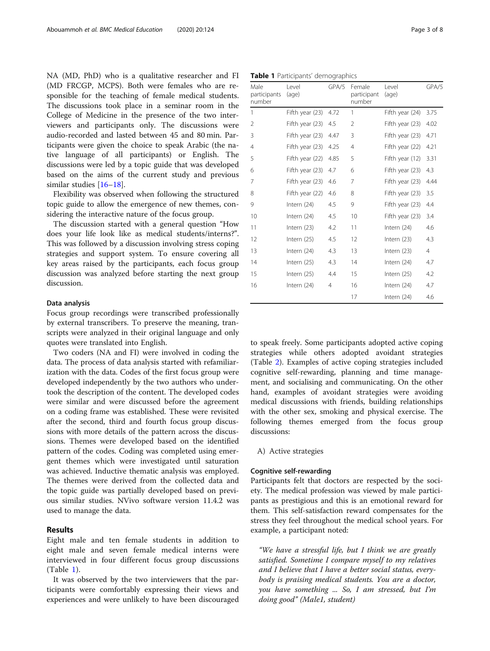NA (MD, PhD) who is a qualitative researcher and FI (MD FRCGP, MCPS). Both were females who are responsible for the teaching of female medical students. The discussions took place in a seminar room in the College of Medicine in the presence of the two interviewers and participants only. The discussions were audio-recorded and lasted between 45 and 80 min. Participants were given the choice to speak Arabic (the native language of all participants) or English. The discussions were led by a topic guide that was developed based on the aims of the current study and previous similar studies [[16](#page-7-0)–[18](#page-7-0)].

Flexibility was observed when following the structured topic guide to allow the emergence of new themes, considering the interactive nature of the focus group.

The discussion started with a general question "How does your life look like as medical students/interns?". This was followed by a discussion involving stress coping strategies and support system. To ensure covering all key areas raised by the participants, each focus group discussion was analyzed before starting the next group discussion.

#### Data analysis

Focus group recordings were transcribed professionally by external transcribers. To preserve the meaning, transcripts were analyzed in their original language and only quotes were translated into English.

Two coders (NA and FI) were involved in coding the data. The process of data analysis started with refamiliarization with the data. Codes of the first focus group were developed independently by the two authors who undertook the description of the content. The developed codes were similar and were discussed before the agreement on a coding frame was established. These were revisited after the second, third and fourth focus group discussions with more details of the pattern across the discussions. Themes were developed based on the identified pattern of the codes. Coding was completed using emergent themes which were investigated until saturation was achieved. Inductive thematic analysis was employed. The themes were derived from the collected data and the topic guide was partially developed based on previous similar studies. NVivo software version 11.4.2 was used to manage the data.

### Results

Eight male and ten female students in addition to eight male and seven female medical interns were interviewed in four different focus group discussions (Table 1).

It was observed by the two interviewers that the participants were comfortably expressing their views and experiences and were unlikely to have been discouraged

Table 1 Participants' demographics

| Male<br>participants<br>number | l evel<br>(age) | GPA/5          | Female<br>participant<br>number | l evel<br>(age) | GPA/5          |
|--------------------------------|-----------------|----------------|---------------------------------|-----------------|----------------|
| $\mathbf{1}$                   | Fifth year (23) | 4.72           | 1                               | Fifth year (24) | 3.75           |
| 2                              | Fifth year (23) | 4.5            | 2                               | Fifth year (23) | 4.02           |
| 3                              | Fifth year (23) | 4.47           | 3                               | Fifth year (23) | 4.71           |
| 4                              | Fifth year (23) | 4.25           | 4                               | Fifth year (22) | 4.21           |
| 5                              | Fifth year (22) | 4.85           | 5                               | Fifth year (12) | 3.31           |
| 6                              | Fifth year (23) | 4.7            | 6                               | Fifth year (23) | 4.3            |
| 7                              | Fifth year (23) | 4.6            | 7                               | Fifth year (23) | 4.44           |
| 8                              | Fifth year (22) | 4.6            | 8                               | Fifth year (23) | 3.5            |
| 9                              | Intern (24)     | 4.5            | 9                               | Fifth year (23) | 4.4            |
| 10                             | Intern (24)     | 4.5            | 10                              | Fifth year (23) | 3.4            |
| 11                             | Intern (23)     | 4.2            | 11                              | Intern (24)     | 4.6            |
| 12                             | Intern (25)     | 4.5            | 12                              | Intern (23)     | 4.3            |
| 13                             | Intern (24)     | 4.3            | 13                              | Intern (23)     | $\overline{4}$ |
| 14                             | Intern (25)     | 4.3            | 14                              | Intern (24)     | 4.7            |
| 15                             | Intern (25)     | 4.4            | 15                              | Intern (25)     | 4.2            |
| 16                             | Intern (24)     | $\overline{4}$ | 16                              | Intern (24)     | 4.7            |
|                                |                 |                | 17                              | Intern (24)     | 4.6            |

to speak freely. Some participants adopted active coping strategies while others adopted avoidant strategies (Table [2\)](#page-3-0). Examples of active coping strategies included cognitive self-rewarding, planning and time management, and socialising and communicating. On the other hand, examples of avoidant strategies were avoiding medical discussions with friends, building relationships with the other sex, smoking and physical exercise. The following themes emerged from the focus group discussions:

A) Active strategies

#### Cognitive self-rewarding

Participants felt that doctors are respected by the society. The medical profession was viewed by male participants as prestigious and this is an emotional reward for them. This self-satisfaction reward compensates for the stress they feel throughout the medical school years. For example, a participant noted:

"We have a stressful life, but I think we are greatly satisfied. Sometime I compare myself to my relatives and I believe that I have a better social status, everybody is praising medical students. You are a doctor, you have something ... So, I am stressed, but I'm doing good" (Male1, student)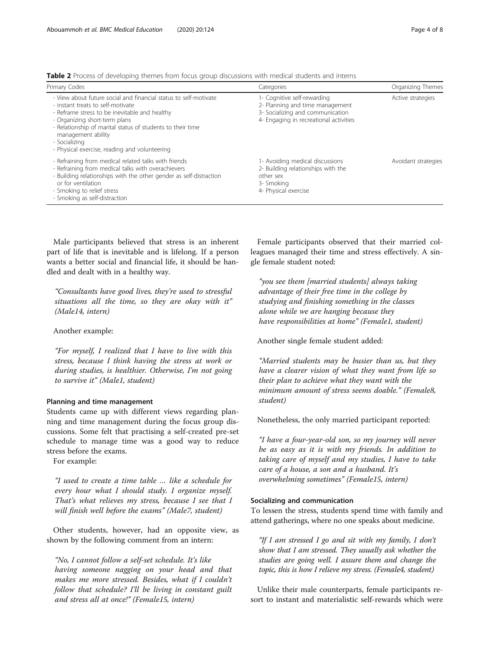<span id="page-3-0"></span>Table 2 Process of developing themes from focus group discussions with medical students and interns

| Primary Codes                                                                                                                                                                                                                                                                                                                                 | Categories                                                                                                                                   | Organizing Themes   |
|-----------------------------------------------------------------------------------------------------------------------------------------------------------------------------------------------------------------------------------------------------------------------------------------------------------------------------------------------|----------------------------------------------------------------------------------------------------------------------------------------------|---------------------|
| - View about future social and financial status to self-motivate<br>- instant treats to self-motivate<br>- Reframe stress to be inevitable and healthy<br>- Organizing short-term plans<br>- Relationship of marital status of students to their time<br>management ability<br>- Socializing<br>- Physical exercise, reading and volunteering | 1- Cognitive self-rewarding<br>2- Planning and time management<br>3- Socializing and communication<br>4- Engaging in recreational activities | Active strategies   |
| - Refraining from medical related talks with friends<br>- Refraining from medical talks with overachievers<br>- Building relationships with the other gender as self-distraction<br>or for ventilation<br>- Smoking to relief stress<br>- Smoking as self-distraction                                                                         | 1- Avoiding medical discussions<br>2- Building relationships with the<br>other sex<br>3- Smoking<br>4- Physical exercise                     | Avoidant strategies |

Male participants believed that stress is an inherent part of life that is inevitable and is lifelong. If a person wants a better social and financial life, it should be handled and dealt with in a healthy way.

"Consultants have good lives, they're used to stressful situations all the time, so they are okay with it" (Male14, intern)

Another example:

"For myself, I realized that I have to live with this stress, because I think having the stress at work or during studies, is healthier. Otherwise, I'm not going to survive it" (Male1, student)

#### Planning and time management

Students came up with different views regarding planning and time management during the focus group discussions. Some felt that practising a self-created pre-set schedule to manage time was a good way to reduce stress before the exams.

For example:

"I used to create a time table … like a schedule for every hour what I should study. I organize myself. That's what relieves my stress, because I see that I will finish well before the exams" (Male7, student)

Other students, however, had an opposite view, as shown by the following comment from an intern:

"No, I cannot follow a self-set schedule. It's like having someone nagging on your head and that makes me more stressed. Besides, what if I couldn't follow that schedule? I'll be living in constant guilt and stress all at once!" (Female15, intern)

Female participants observed that their married colleagues managed their time and stress effectively. A single female student noted:

"you see them [married students] always taking advantage of their free time in the college by studying and finishing something in the classes alone while we are hanging because they have responsibilities at home" (Female1, student)

Another single female student added:

"Married students may be busier than us, but they have a clearer vision of what they want from life so their plan to achieve what they want with the minimum amount of stress seems doable." (Female8, student)

Nonetheless, the only married participant reported:

"I have a four-year-old son, so my journey will never be as easy as it is with my friends. In addition to taking care of myself and my studies, I have to take care of a house, a son and a husband. It's overwhelming sometimes" (Female15, intern)

#### Socializing and communication

To lessen the stress, students spend time with family and attend gatherings, where no one speaks about medicine.

"If I am stressed I go and sit with my family, I don't show that I am stressed. They usually ask whether the studies are going well. I assure them and change the topic, this is how I relieve my stress. (Female4, student)

Unlike their male counterparts, female participants resort to instant and materialistic self-rewards which were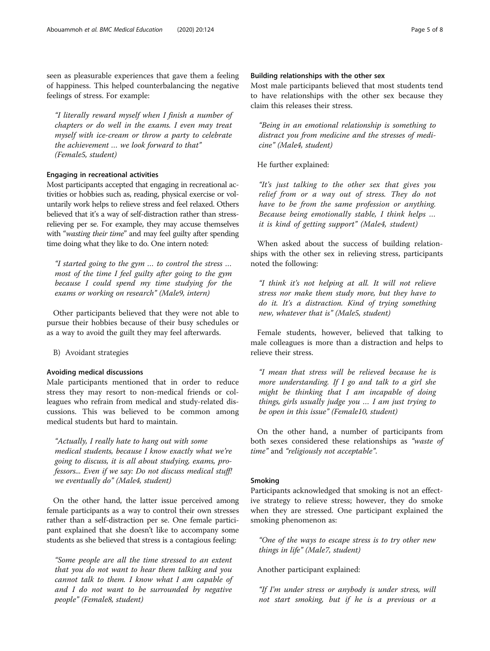seen as pleasurable experiences that gave them a feeling of happiness. This helped counterbalancing the negative feelings of stress. For example:

"I literally reward myself when I finish a number of chapters or do well in the exams. I even may treat myself with ice-cream or throw a party to celebrate the achievement … we look forward to that" (Female5, student)

#### Engaging in recreational activities

Most participants accepted that engaging in recreational activities or hobbies such as, reading, physical exercise or voluntarily work helps to relieve stress and feel relaxed. Others believed that it's a way of self-distraction rather than stressrelieving per se. For example, they may accuse themselves with "wasting their time" and may feel guilty after spending time doing what they like to do. One intern noted:

"I started going to the gym … to control the stress … most of the time I feel guilty after going to the gym because I could spend my time studying for the exams or working on research" (Male9, intern)

Other participants believed that they were not able to pursue their hobbies because of their busy schedules or as a way to avoid the guilt they may feel afterwards.

B) Avoidant strategies

#### Avoiding medical discussions

Male participants mentioned that in order to reduce stress they may resort to non-medical friends or colleagues who refrain from medical and study-related discussions. This was believed to be common among medical students but hard to maintain.

"Actually, I really hate to hang out with some medical students, because I know exactly what we're going to discuss, it is all about studying, exams, professors... Even if we say: Do not discuss medical stuff! we eventually do" (Male4, student)

On the other hand, the latter issue perceived among female participants as a way to control their own stresses rather than a self-distraction per se. One female participant explained that she doesn't like to accompany some students as she believed that stress is a contagious feeling:

"Some people are all the time stressed to an extent that you do not want to hear them talking and you cannot talk to them. I know what I am capable of and I do not want to be surrounded by negative people" (Female8, student)

#### Building relationships with the other sex

Most male participants believed that most students tend to have relationships with the other sex because they claim this releases their stress.

"Being in an emotional relationship is something to distract you from medicine and the stresses of medicine" (Male4, student)

He further explained:

"It's just talking to the other sex that gives you relief from or a way out of stress. They do not have to be from the same profession or anything. Because being emotionally stable, I think helps … it is kind of getting support" (Male4, student)

When asked about the success of building relationships with the other sex in relieving stress, participants noted the following:

"I think it's not helping at all. It will not relieve stress nor make them study more, but they have to do it. It's a distraction. Kind of trying something new, whatever that is" (Male5, student)

Female students, however, believed that talking to male colleagues is more than a distraction and helps to relieve their stress.

"I mean that stress will be relieved because he is more understanding. If I go and talk to a girl she might be thinking that I am incapable of doing things, girls usually judge you … I am just trying to be open in this issue" (Female10, student)

On the other hand, a number of participants from both sexes considered these relationships as "waste of time" and "religiously not acceptable".

#### Smoking

Participants acknowledged that smoking is not an effective strategy to relieve stress; however, they do smoke when they are stressed. One participant explained the smoking phenomenon as:

"One of the ways to escape stress is to try other new things in life" (Male7, student)

Another participant explained:

"If I'm under stress or anybody is under stress, will not start smoking, but if he is a previous or a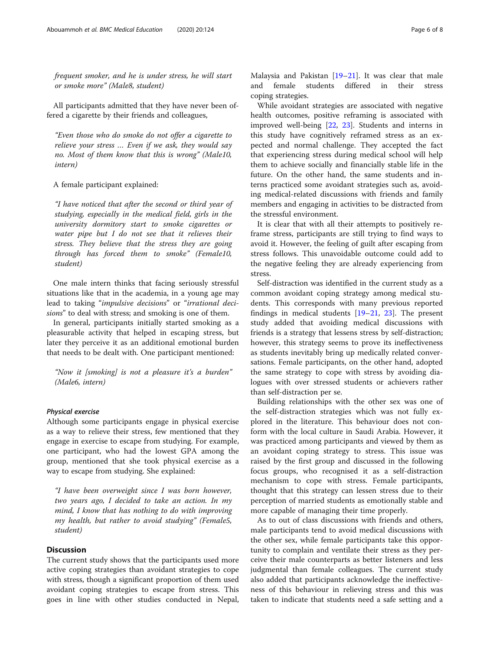frequent smoker, and he is under stress, he will start or smoke more" (Male8, student)

All participants admitted that they have never been offered a cigarette by their friends and colleagues,

"Even those who do smoke do not offer a cigarette to relieve your stress … Even if we ask, they would say no. Most of them know that this is wrong" (Male10, intern)

#### A female participant explained:

"I have noticed that after the second or third year of studying, especially in the medical field, girls in the university dormitory start to smoke cigarettes or water pipe but I do not see that it relieves their stress. They believe that the stress they are going through has forced them to smoke" (Female10, student)

One male intern thinks that facing seriously stressful situations like that in the academia, in a young age may lead to taking "impulsive decisions" or "irrational decisions" to deal with stress; and smoking is one of them.

In general, participants initially started smoking as a pleasurable activity that helped in escaping stress, but later they perceive it as an additional emotional burden that needs to be dealt with. One participant mentioned:

"Now it [smoking] is not a pleasure it's a burden" (Male6, intern)

#### Physical exercise

Although some participants engage in physical exercise as a way to relieve their stress, few mentioned that they engage in exercise to escape from studying. For example, one participant, who had the lowest GPA among the group, mentioned that she took physical exercise as a way to escape from studying. She explained:

"I have been overweight since I was born however, two years ago, I decided to take an action. In my mind, I know that has nothing to do with improving my health, but rather to avoid studying" (Female5, student)

### **Discussion**

The current study shows that the participants used more active coping strategies than avoidant strategies to cope with stress, though a significant proportion of them used avoidant coping strategies to escape from stress. This goes in line with other studies conducted in Nepal,

Malaysia and Pakistan [\[19](#page-7-0)–[21\]](#page-7-0). It was clear that male and female students differed in their stress coping strategies.

While avoidant strategies are associated with negative health outcomes, positive reframing is associated with improved well-being [\[22,](#page-7-0) [23\]](#page-7-0). Students and interns in this study have cognitively reframed stress as an expected and normal challenge. They accepted the fact that experiencing stress during medical school will help them to achieve socially and financially stable life in the future. On the other hand, the same students and interns practiced some avoidant strategies such as, avoiding medical-related discussions with friends and family members and engaging in activities to be distracted from the stressful environment.

It is clear that with all their attempts to positively reframe stress, participants are still trying to find ways to avoid it. However, the feeling of guilt after escaping from stress follows. This unavoidable outcome could add to the negative feeling they are already experiencing from stress.

Self-distraction was identified in the current study as a common avoidant coping strategy among medical students. This corresponds with many previous reported findings in medical students [\[19](#page-7-0)–[21,](#page-7-0) [23\]](#page-7-0). The present study added that avoiding medical discussions with friends is a strategy that lessens stress by self-distraction; however, this strategy seems to prove its ineffectiveness as students inevitably bring up medically related conversations. Female participants, on the other hand, adopted the same strategy to cope with stress by avoiding dialogues with over stressed students or achievers rather than self-distraction per se.

Building relationships with the other sex was one of the self-distraction strategies which was not fully explored in the literature. This behaviour does not conform with the local culture in Saudi Arabia. However, it was practiced among participants and viewed by them as an avoidant coping strategy to stress. This issue was raised by the first group and discussed in the following focus groups, who recognised it as a self-distraction mechanism to cope with stress. Female participants, thought that this strategy can lessen stress due to their perception of married students as emotionally stable and more capable of managing their time properly.

As to out of class discussions with friends and others, male participants tend to avoid medical discussions with the other sex, while female participants take this opportunity to complain and ventilate their stress as they perceive their male counterparts as better listeners and less judgmental than female colleagues. The current study also added that participants acknowledge the ineffectiveness of this behaviour in relieving stress and this was taken to indicate that students need a safe setting and a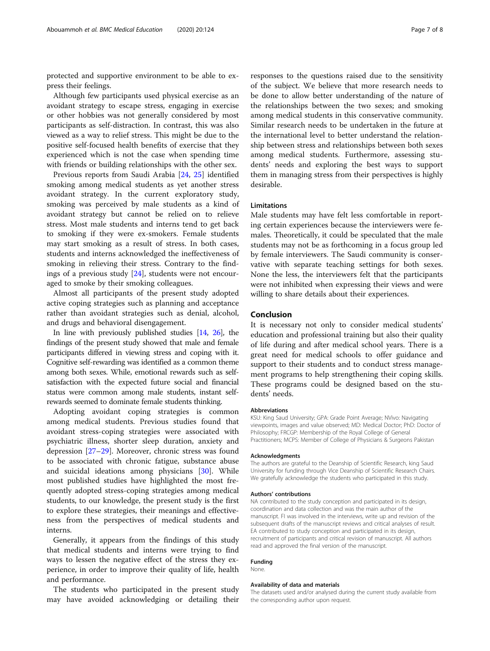protected and supportive environment to be able to express their feelings.

Although few participants used physical exercise as an avoidant strategy to escape stress, engaging in exercise or other hobbies was not generally considered by most participants as self-distraction. In contrast, this was also viewed as a way to relief stress. This might be due to the positive self-focused health benefits of exercise that they experienced which is not the case when spending time with friends or building relationships with the other sex.

Previous reports from Saudi Arabia [[24,](#page-7-0) [25](#page-7-0)] identified smoking among medical students as yet another stress avoidant strategy. In the current exploratory study, smoking was perceived by male students as a kind of avoidant strategy but cannot be relied on to relieve stress. Most male students and interns tend to get back to smoking if they were ex-smokers. Female students may start smoking as a result of stress. In both cases, students and interns acknowledged the ineffectiveness of smoking in relieving their stress. Contrary to the findings of a previous study [\[24](#page-7-0)], students were not encouraged to smoke by their smoking colleagues.

Almost all participants of the present study adopted active coping strategies such as planning and acceptance rather than avoidant strategies such as denial, alcohol, and drugs and behavioral disengagement.

In line with previously published studies [\[14,](#page-7-0) [26\]](#page-7-0), the findings of the present study showed that male and female participants differed in viewing stress and coping with it. Cognitive self-rewarding was identified as a common theme among both sexes. While, emotional rewards such as selfsatisfaction with the expected future social and financial status were common among male students, instant selfrewards seemed to dominate female students thinking.

Adopting avoidant coping strategies is common among medical students. Previous studies found that avoidant stress-coping strategies were associated with psychiatric illness, shorter sleep duration, anxiety and depression [\[27](#page-7-0)–[29\]](#page-7-0). Moreover, chronic stress was found to be associated with chronic fatigue, substance abuse and suicidal ideations among physicians [\[30](#page-7-0)]. While most published studies have highlighted the most frequently adopted stress-coping strategies among medical students, to our knowledge, the present study is the first to explore these strategies, their meanings and effectiveness from the perspectives of medical students and interns.

Generally, it appears from the findings of this study that medical students and interns were trying to find ways to lessen the negative effect of the stress they experience, in order to improve their quality of life, health and performance.

The students who participated in the present study may have avoided acknowledging or detailing their responses to the questions raised due to the sensitivity of the subject. We believe that more research needs to be done to allow better understanding of the nature of the relationships between the two sexes; and smoking among medical students in this conservative community. Similar research needs to be undertaken in the future at the international level to better understand the relationship between stress and relationships between both sexes among medical students. Furthermore, assessing students' needs and exploring the best ways to support them in managing stress from their perspectives is highly desirable.

#### Limitations

Male students may have felt less comfortable in reporting certain experiences because the interviewers were females. Theoretically, it could be speculated that the male students may not be as forthcoming in a focus group led by female interviewers. The Saudi community is conservative with separate teaching settings for both sexes. None the less, the interviewers felt that the participants were not inhibited when expressing their views and were willing to share details about their experiences.

#### Conclusion

It is necessary not only to consider medical students' education and professional training but also their quality of life during and after medical school years. There is a great need for medical schools to offer guidance and support to their students and to conduct stress management programs to help strengthening their coping skills. These programs could be designed based on the students' needs.

#### Abbreviations

KSU: King Saud University; GPA: Grade Point Average; NVivo: Navigating viewpoints, images and value observed; MD: Medical Doctor; PhD: Doctor of Philosophy; FRCGP: Membership of the Royal College of General Practitioners; MCPS: Member of College of Physicians & Surgeons Pakistan

#### Acknowledgments

The authors are grateful to the Deanship of Scientific Research, king Saud University for funding through Vice Deanship of Scientific Research Chairs. We gratefully acknowledge the students who participated in this study.

#### Authors' contributions

NA contributed to the study conception and participated in its design. coordination and data collection and was the main author of the manuscript. FI was involved in the interviews, write up and revision of the subsequent drafts of the manuscript reviews and critical analyses of result. EA contributed to study conception and participated in its design, recruitment of participants and critical revision of manuscript. All authors read and approved the final version of the manuscript.

#### Funding None.

# Availability of data and materials

The datasets used and/or analysed during the current study available from the corresponding author upon request.